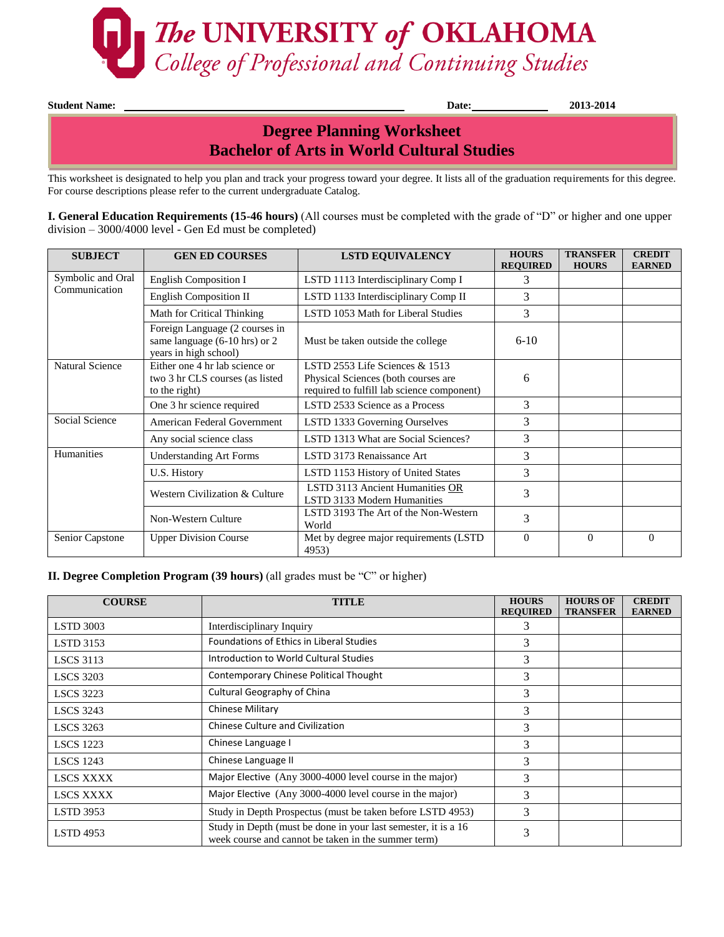

**Student Name: Date: 2013-2014** 

## **Bachelor of Arts in World Cultural Studies Degree Planning Worksheet**

This worksheet is designated to help you plan and track your progress toward your degree. It lists all of the graduation requirements for this degree. For course descriptions please refer to the current undergraduate Catalog.

**I. General Education Requirements (15-46 hours)** (All courses must be completed with the grade of "D" or higher and one upper division – 3000/4000 level - Gen Ed must be completed)

| <b>SUBJECT</b>                     | <b>GEN ED COURSES</b>                                                                    | <b>LSTD EQUIVALENCY</b>                                                                                               | <b>HOURS</b><br><b>REQUIRED</b> | <b>TRANSFER</b><br><b>HOURS</b> | <b>CREDIT</b><br><b>EARNED</b> |
|------------------------------------|------------------------------------------------------------------------------------------|-----------------------------------------------------------------------------------------------------------------------|---------------------------------|---------------------------------|--------------------------------|
| Symbolic and Oral<br>Communication | <b>English Composition I</b>                                                             | LSTD 1113 Interdisciplinary Comp I                                                                                    | 3                               |                                 |                                |
|                                    | <b>English Composition II</b>                                                            | LSTD 1133 Interdisciplinary Comp II                                                                                   | 3                               |                                 |                                |
|                                    | Math for Critical Thinking                                                               | LSTD 1053 Math for Liberal Studies                                                                                    | 3                               |                                 |                                |
|                                    | Foreign Language (2 courses in<br>same language (6-10 hrs) or 2<br>years in high school) | Must be taken outside the college                                                                                     | $6 - 10$                        |                                 |                                |
| <b>Natural Science</b>             | Either one 4 hr lab science or<br>two 3 hr CLS courses (as listed<br>to the right)       | LSTD 2553 Life Sciences $& 1513$<br>Physical Sciences (both courses are<br>required to fulfill lab science component) | 6                               |                                 |                                |
|                                    | One 3 hr science required                                                                | LSTD 2533 Science as a Process                                                                                        | 3                               |                                 |                                |
| Social Science                     | American Federal Government                                                              | LSTD 1333 Governing Ourselves                                                                                         | 3                               |                                 |                                |
|                                    | Any social science class                                                                 | LSTD 1313 What are Social Sciences?                                                                                   | 3                               |                                 |                                |
| Humanities                         | <b>Understanding Art Forms</b>                                                           | LSTD 3173 Renaissance Art                                                                                             | 3                               |                                 |                                |
|                                    | U.S. History                                                                             | LSTD 1153 History of United States                                                                                    | 3                               |                                 |                                |
|                                    | Western Civilization & Culture                                                           | LSTD 3113 Ancient Humanities OR<br>LSTD 3133 Modern Humanities                                                        | 3                               |                                 |                                |
|                                    | Non-Western Culture                                                                      | LSTD 3193 The Art of the Non-Western<br>World                                                                         | 3                               |                                 |                                |
| Senior Capstone                    | <b>Upper Division Course</b>                                                             | Met by degree major requirements (LSTD)<br>4953)                                                                      | $\Omega$                        | $\Omega$                        | $\Omega$                       |

## **II. Degree Completion Program (39 hours)** (all grades must be "C" or higher)

| <b>COURSE</b>    | <b>TITLE</b>                                                                                                          | <b>HOURS</b><br><b>REQUIRED</b> | <b>HOURS OF</b><br><b>TRANSFER</b> | <b>CREDIT</b><br><b>EARNED</b> |
|------------------|-----------------------------------------------------------------------------------------------------------------------|---------------------------------|------------------------------------|--------------------------------|
| <b>LSTD 3003</b> | Interdisciplinary Inquiry                                                                                             | 3                               |                                    |                                |
| <b>LSTD 3153</b> | Foundations of Ethics in Liberal Studies                                                                              | 3                               |                                    |                                |
| <b>LSCS</b> 3113 | Introduction to World Cultural Studies                                                                                | 3                               |                                    |                                |
| <b>LSCS 3203</b> | Contemporary Chinese Political Thought                                                                                | 3                               |                                    |                                |
| <b>LSCS</b> 3223 | Cultural Geography of China                                                                                           | 3                               |                                    |                                |
| <b>LSCS</b> 3243 | <b>Chinese Military</b>                                                                                               | 3                               |                                    |                                |
| <b>LSCS</b> 3263 | Chinese Culture and Civilization                                                                                      | 3                               |                                    |                                |
| <b>LSCS 1223</b> | Chinese Language I                                                                                                    | 3                               |                                    |                                |
| <b>LSCS</b> 1243 | Chinese Language II                                                                                                   | 3                               |                                    |                                |
| <b>LSCS XXXX</b> | Major Elective (Any 3000-4000 level course in the major)                                                              | 3                               |                                    |                                |
| <b>LSCS XXXX</b> | Major Elective (Any 3000-4000 level course in the major)                                                              | 3                               |                                    |                                |
| <b>LSTD 3953</b> | Study in Depth Prospectus (must be taken before LSTD 4953)                                                            | 3                               |                                    |                                |
| <b>LSTD</b> 4953 | Study in Depth (must be done in your last semester, it is a 16<br>week course and cannot be taken in the summer term) | 3                               |                                    |                                |